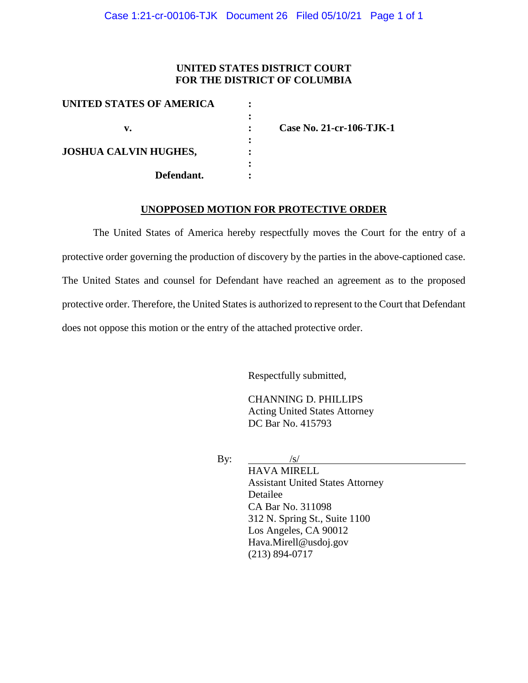### **UNITED STATES DISTRICT COURT FOR THE DISTRICT OF COLUMBIA**

| UNITED STATES OF AMERICA     |                          |
|------------------------------|--------------------------|
|                              |                          |
| v.                           | Case No. 21-cr-106-TJK-1 |
|                              |                          |
| <b>JOSHUA CALVIN HUGHES,</b> |                          |
|                              |                          |
| Defendant.                   |                          |

#### **UNOPPOSED MOTION FOR PROTECTIVE ORDER**

The United States of America hereby respectfully moves the Court for the entry of a protective order governing the production of discovery by the parties in the above-captioned case. The United States and counsel for Defendant have reached an agreement as to the proposed protective order. Therefore, the United States is authorized to represent to the Court that Defendant does not oppose this motion or the entry of the attached protective order.

Respectfully submitted,

CHANNING D. PHILLIPS Acting United States Attorney DC Bar No. 415793

By:  $\frac{|s|}{\sqrt{|s|}}$ 

HAVA MIRELL Assistant United States Attorney Detailee CA Bar No. 311098 312 N. Spring St., Suite 1100 Los Angeles, CA 90012 Hava.Mirell@usdoj.gov (213) 894-0717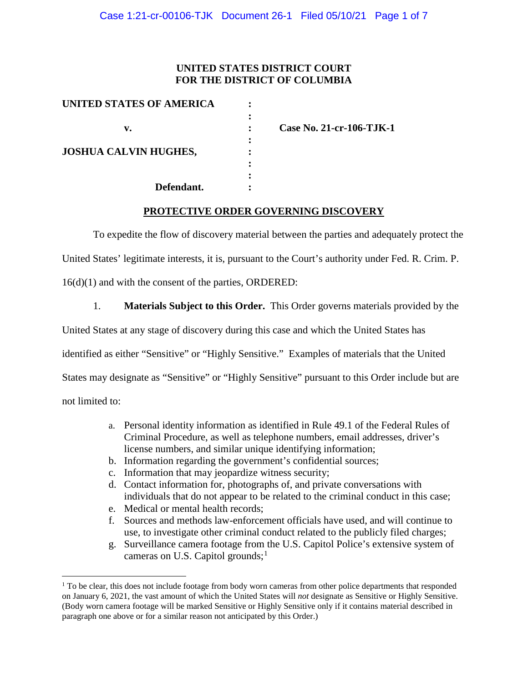## **UNITED STATES DISTRICT COURT FOR THE DISTRICT OF COLUMBIA**

| UNITED STATES OF AMERICA     |  |
|------------------------------|--|
|                              |  |
| v.                           |  |
|                              |  |
| <b>JOSHUA CALVIN HUGHES,</b> |  |
|                              |  |
|                              |  |
| Defendant.                   |  |

**v. : Case No. 21-cr-106-TJK-1**

### **PROTECTIVE ORDER GOVERNING DISCOVERY**

To expedite the flow of discovery material between the parties and adequately protect the

United States' legitimate interests, it is, pursuant to the Court's authority under Fed. R. Crim. P.

16(d)(1) and with the consent of the parties, ORDERED:

1. **Materials Subject to this Order.** This Order governs materials provided by the

United States at any stage of discovery during this case and which the United States has

identified as either "Sensitive" or "Highly Sensitive." Examples of materials that the United

States may designate as "Sensitive" or "Highly Sensitive" pursuant to this Order include but are

not limited to:

- a. Personal identity information as identified in Rule 49.1 of the Federal Rules of Criminal Procedure, as well as telephone numbers, email addresses, driver's license numbers, and similar unique identifying information;
- b. Information regarding the government's confidential sources;
- c. Information that may jeopardize witness security;
- d. Contact information for, photographs of, and private conversations with individuals that do not appear to be related to the criminal conduct in this case;
- e. Medical or mental health records;
- f. Sources and methods law-enforcement officials have used, and will continue to use, to investigate other criminal conduct related to the publicly filed charges;
- g. Surveillance camera footage from the U.S. Capitol Police's extensive system of cameras on U.S. Capitol grounds;<sup>1</sup>

 $1$  To be clear, this does not include footage from body worn cameras from other police departments that responded on January 6, 2021, the vast amount of which the United States will *not* designate as Sensitive or Highly Sensitive. (Body worn camera footage will be marked Sensitive or Highly Sensitive only if it contains material described in paragraph one above or for a similar reason not anticipated by this Order.)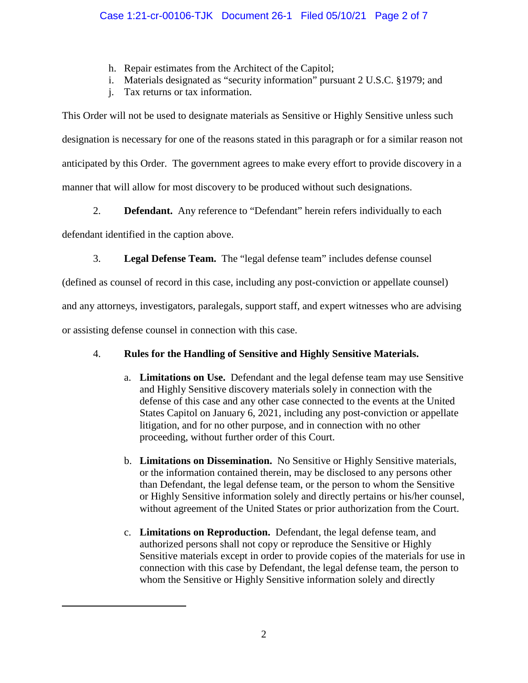- h. Repair estimates from the Architect of the Capitol;
- i. Materials designated as "security information" pursuant 2 U.S.C. §1979; and
- j. Tax returns or tax information.

This Order will not be used to designate materials as Sensitive or Highly Sensitive unless such designation is necessary for one of the reasons stated in this paragraph or for a similar reason not anticipated by this Order. The government agrees to make every effort to provide discovery in a manner that will allow for most discovery to be produced without such designations.

2. **Defendant.** Any reference to "Defendant" herein refers individually to each

defendant identified in the caption above.

 $\overline{a}$ 

3. **Legal Defense Team.** The "legal defense team" includes defense counsel

(defined as counsel of record in this case, including any post-conviction or appellate counsel)

and any attorneys, investigators, paralegals, support staff, and expert witnesses who are advising

or assisting defense counsel in connection with this case.

# 4. **Rules for the Handling of Sensitive and Highly Sensitive Materials.**

- a. **Limitations on Use.** Defendant and the legal defense team may use Sensitive and Highly Sensitive discovery materials solely in connection with the defense of this case and any other case connected to the events at the United States Capitol on January 6, 2021, including any post-conviction or appellate litigation, and for no other purpose, and in connection with no other proceeding, without further order of this Court.
- b. **Limitations on Dissemination.** No Sensitive or Highly Sensitive materials, or the information contained therein, may be disclosed to any persons other than Defendant, the legal defense team, or the person to whom the Sensitive or Highly Sensitive information solely and directly pertains or his/her counsel, without agreement of the United States or prior authorization from the Court.
- c. **Limitations on Reproduction.** Defendant, the legal defense team, and authorized persons shall not copy or reproduce the Sensitive or Highly Sensitive materials except in order to provide copies of the materials for use in connection with this case by Defendant, the legal defense team, the person to whom the Sensitive or Highly Sensitive information solely and directly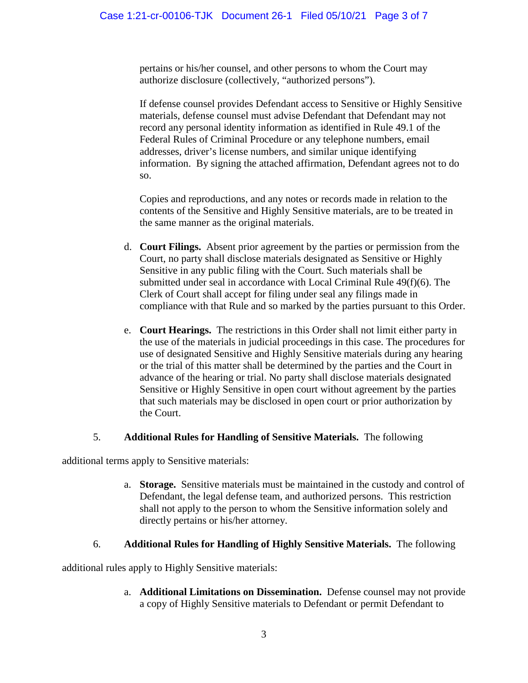pertains or his/her counsel, and other persons to whom the Court may authorize disclosure (collectively, "authorized persons").

If defense counsel provides Defendant access to Sensitive or Highly Sensitive materials, defense counsel must advise Defendant that Defendant may not record any personal identity information as identified in Rule 49.1 of the Federal Rules of Criminal Procedure or any telephone numbers, email addresses, driver's license numbers, and similar unique identifying information. By signing the attached affirmation, Defendant agrees not to do so.

Copies and reproductions, and any notes or records made in relation to the contents of the Sensitive and Highly Sensitive materials, are to be treated in the same manner as the original materials.

- d. **Court Filings.** Absent prior agreement by the parties or permission from the Court, no party shall disclose materials designated as Sensitive or Highly Sensitive in any public filing with the Court. Such materials shall be submitted under seal in accordance with Local Criminal Rule 49(f)(6). The Clerk of Court shall accept for filing under seal any filings made in compliance with that Rule and so marked by the parties pursuant to this Order.
- e. **Court Hearings.** The restrictions in this Order shall not limit either party in the use of the materials in judicial proceedings in this case. The procedures for use of designated Sensitive and Highly Sensitive materials during any hearing or the trial of this matter shall be determined by the parties and the Court in advance of the hearing or trial. No party shall disclose materials designated Sensitive or Highly Sensitive in open court without agreement by the parties that such materials may be disclosed in open court or prior authorization by the Court.

# 5. **Additional Rules for Handling of Sensitive Materials.** The following

additional terms apply to Sensitive materials:

a. **Storage.** Sensitive materials must be maintained in the custody and control of Defendant, the legal defense team, and authorized persons. This restriction shall not apply to the person to whom the Sensitive information solely and directly pertains or his/her attorney.

# 6. **Additional Rules for Handling of Highly Sensitive Materials.** The following

additional rules apply to Highly Sensitive materials:

a. **Additional Limitations on Dissemination.** Defense counsel may not provide a copy of Highly Sensitive materials to Defendant or permit Defendant to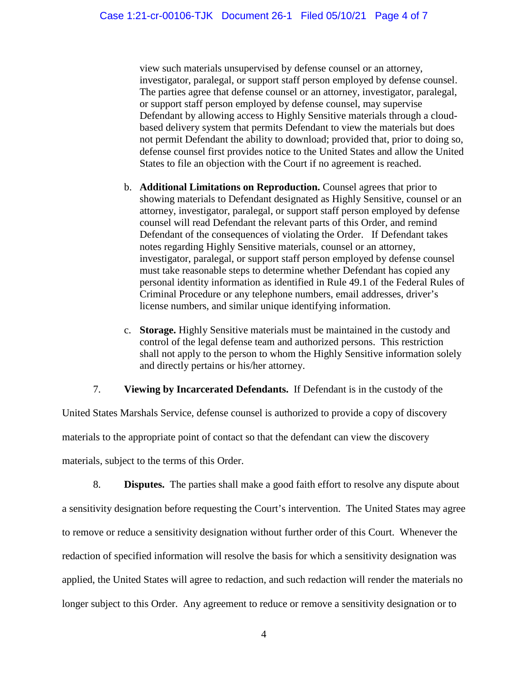view such materials unsupervised by defense counsel or an attorney, investigator, paralegal, or support staff person employed by defense counsel. The parties agree that defense counsel or an attorney, investigator, paralegal, or support staff person employed by defense counsel, may supervise Defendant by allowing access to Highly Sensitive materials through a cloudbased delivery system that permits Defendant to view the materials but does not permit Defendant the ability to download; provided that, prior to doing so, defense counsel first provides notice to the United States and allow the United States to file an objection with the Court if no agreement is reached.

- b. **Additional Limitations on Reproduction.** Counsel agrees that prior to showing materials to Defendant designated as Highly Sensitive, counsel or an attorney, investigator, paralegal, or support staff person employed by defense counsel will read Defendant the relevant parts of this Order, and remind Defendant of the consequences of violating the Order. If Defendant takes notes regarding Highly Sensitive materials, counsel or an attorney, investigator, paralegal, or support staff person employed by defense counsel must take reasonable steps to determine whether Defendant has copied any personal identity information as identified in Rule 49.1 of the Federal Rules of Criminal Procedure or any telephone numbers, email addresses, driver's license numbers, and similar unique identifying information.
- c. **Storage.** Highly Sensitive materials must be maintained in the custody and control of the legal defense team and authorized persons. This restriction shall not apply to the person to whom the Highly Sensitive information solely and directly pertains or his/her attorney.

### 7. **Viewing by Incarcerated Defendants.** If Defendant is in the custody of the

United States Marshals Service, defense counsel is authorized to provide a copy of discovery materials to the appropriate point of contact so that the defendant can view the discovery materials, subject to the terms of this Order.

8. **Disputes.** The parties shall make a good faith effort to resolve any dispute about a sensitivity designation before requesting the Court's intervention. The United States may agree to remove or reduce a sensitivity designation without further order of this Court. Whenever the redaction of specified information will resolve the basis for which a sensitivity designation was applied, the United States will agree to redaction, and such redaction will render the materials no longer subject to this Order. Any agreement to reduce or remove a sensitivity designation or to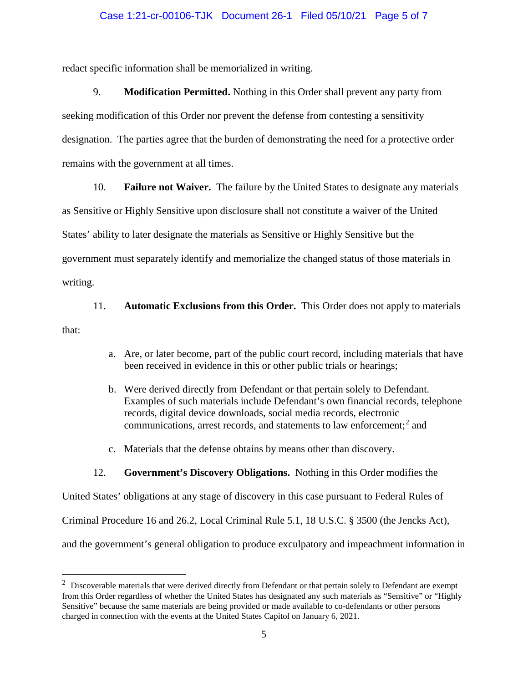#### Case 1:21-cr-00106-TJK Document 26-1 Filed 05/10/21 Page 5 of 7

redact specific information shall be memorialized in writing.

9. **Modification Permitted.** Nothing in this Order shall prevent any party from seeking modification of this Order nor prevent the defense from contesting a sensitivity designation. The parties agree that the burden of demonstrating the need for a protective order remains with the government at all times.

10. **Failure not Waiver.** The failure by the United States to designate any materials

as Sensitive or Highly Sensitive upon disclosure shall not constitute a waiver of the United

States' ability to later designate the materials as Sensitive or Highly Sensitive but the

government must separately identify and memorialize the changed status of those materials in

writing.

11. **Automatic Exclusions from this Order.** This Order does not apply to materials

that:

- a. Are, or later become, part of the public court record, including materials that have been received in evidence in this or other public trials or hearings;
- b. Were derived directly from Defendant or that pertain solely to Defendant. Examples of such materials include Defendant's own financial records, telephone records, digital device downloads, social media records, electronic communications, arrest records, and statements to law enforcement; <sup>2</sup> and
- c. Materials that the defense obtains by means other than discovery.

### 12. **Government's Discovery Obligations.** Nothing in this Order modifies the

United States' obligations at any stage of discovery in this case pursuant to Federal Rules of

Criminal Procedure 16 and 26.2, Local Criminal Rule 5.1, 18 U.S.C. § 3500 (the Jencks Act),

and the government's general obligation to produce exculpatory and impeachment information in

 $\frac{1}{2}$  $2$  Discoverable materials that were derived directly from Defendant or that pertain solely to Defendant are exempt from this Order regardless of whether the United States has designated any such materials as "Sensitive" or "Highly Sensitive" because the same materials are being provided or made available to co-defendants or other persons charged in connection with the events at the United States Capitol on January 6, 2021.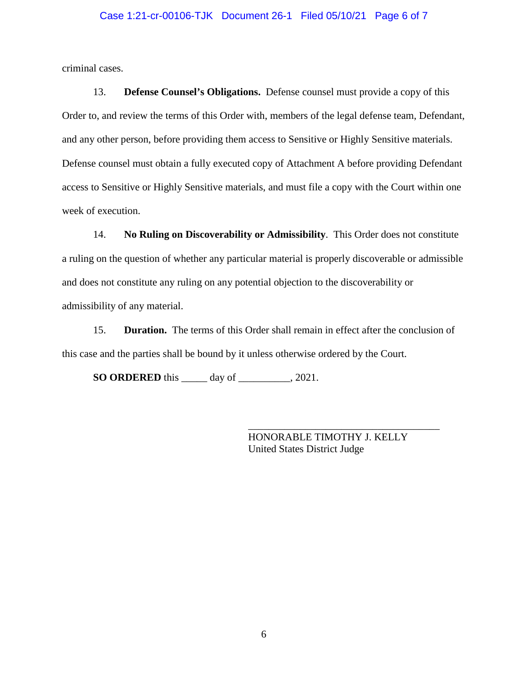#### Case 1:21-cr-00106-TJK Document 26-1 Filed 05/10/21 Page 6 of 7

criminal cases.

13. **Defense Counsel's Obligations.** Defense counsel must provide a copy of this Order to, and review the terms of this Order with, members of the legal defense team, Defendant, and any other person, before providing them access to Sensitive or Highly Sensitive materials. Defense counsel must obtain a fully executed copy of Attachment A before providing Defendant access to Sensitive or Highly Sensitive materials, and must file a copy with the Court within one week of execution.

14. **No Ruling on Discoverability or Admissibility**. This Order does not constitute a ruling on the question of whether any particular material is properly discoverable or admissible and does not constitute any ruling on any potential objection to the discoverability or admissibility of any material.

15. **Duration.** The terms of this Order shall remain in effect after the conclusion of this case and the parties shall be bound by it unless otherwise ordered by the Court.

**SO ORDERED** this \_\_\_\_\_ day of \_\_\_\_\_\_\_\_\_\_, 2021.

HONORABLE TIMOTHY J. KELLY United States District Judge

\_\_\_\_\_\_\_\_\_\_\_\_\_\_\_\_\_\_\_\_\_\_\_\_\_\_\_\_\_\_\_\_\_\_\_\_\_